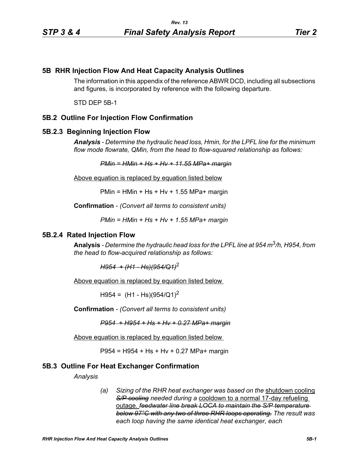# **5B RHR Injection Flow And Heat Capacity Analysis Outlines**

The information in this appendix of the reference ABWR DCD, including all subsections and figures, is incorporated by reference with the following departure.

STD DEP 5B-1

# **5B.2 Outline For Injection Flow Confirmation**

#### **5B.2.3 Beginning Injection Flow**

*Analysis - Determine the hydraulic head loss, Hmin, for the LPFL line for the minimum flow mode flowrate, QMin, from the head to flow-squared relationship as follows:*

*PMin = HMin + Hs + Hv + 11.55 MPa+ margin*

Above equation is replaced by equation listed below

 $PMin = HMin + Hs + Hv + 1.55 MPa + marain$ 

**Confirmation** *- (Convert all terms to consistent units)*

*PMin = HMin + Hs + Hv + 1.55 MPa+ margin*

### **5B.2.4 Rated Injection Flow**

**Analysis** *- Determine the hydraulic head loss for the LPFL line at 954 m*3*/h, H954, from the head to flow-acquired relationship as follows:*

*H954 + (H1 - Hs)(954/Q1)*<sup>2</sup>

Above equation is replaced by equation listed below

 $H954 = (H1 - Hs)(954/Q1)^2$ 

**Confirmation** *- (Convert all terms to consistent units)*

*P954 + H954 + Hs + Hv + 0.27 MPa+ margin*

Above equation is replaced by equation listed below

P954 = H954 + Hs + Hv + 0.27 MPa+ margin

### **5B.3 Outline For Heat Exchanger Confirmation**

*Analysis*

*(a) Sizing of the RHR heat exchanger was based on the* shutdown cooling *S/P cooling needed during a* cooldown to a normal 17-day refueling outage. *feedwater line break LOCA to maintain the S/P temperature below 97°C with any two of three RHR loops operating. The result was each loop having the same identical heat exchanger, each*